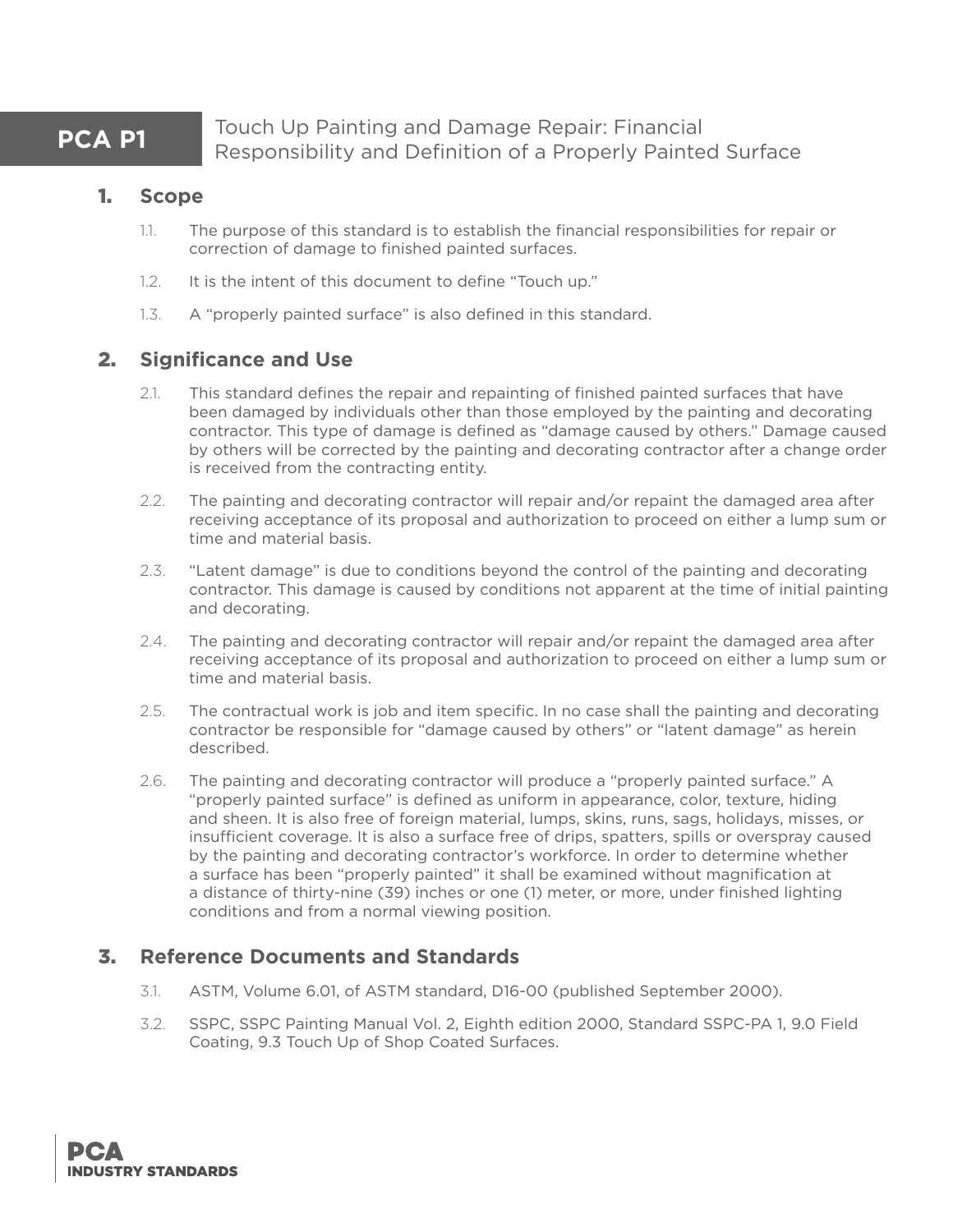**PCA P1** Touch Up Painting and Damage Repair: Financial Responsibility and Definition of a Properly Painted Surface

#### 1. **Scope**

- 1.1. The purpose of this standard is to establish the financial responsibilities for repair or correction of damage to finished painted surfaces.
- 1.2. It is the intent of this document to define "Touch up."
- 1.3. A "properly painted surface" is also defined in this standard.

## 2. **Significance and Use**

- 2.1. This standard defines the repair and repainting of finished painted surfaces that have been damaged by individuals other than those employed by the painting and decorating contractor. This type of damage is defined as "damage caused by others." Damage caused by others will be corrected by the painting and decorating contractor after a change order is received from the contracting entity.
- 2.2. The painting and decorating contractor will repair and/or repaint the damaged area after receiving acceptance of its proposal and authorization to proceed on either a lump sum or time and material basis.
- 2.3. "Latent damage" is due to conditions beyond the control of the painting and decorating contractor. This damage is caused by conditions not apparent at the time of initial painting and decorating.
- 2.4. The painting and decorating contractor will repair and/or repaint the damaged area after receiving acceptance of its proposal and authorization to proceed on either a lump sum or time and material basis.
- 2.5. The contractual work is job and item specific. In no case shall the painting and decorating contractor be responsible for "damage caused by others" or "latent damage" as herein described.
- 2.6. The painting and decorating contractor will produce a "properly painted surface." A "properly painted surface" is defined as uniform in appearance, color, texture, hiding and sheen. It is also free of foreign material, lumps, skins, runs, sags, holidays, misses, or insufficient coverage. It is also a surface free of drips, spatters, spills or overspray caused by the painting and decorating contractor's workforce. In order to determine whether a surface has been "properly painted" it shall be examined without magnification at a distance of thirty-nine (39) inches or one (1) meter, or more, under finished lighting conditions and from a normal viewing position.

# 3. **Reference Documents and Standards**

- 3.1. ASTM, Volume 6.01, of ASTM standard, D16-00 (published September 2000).
- 3.2. SSPC, SSPC Painting Manual Vol. 2, Eighth edition 2000, Standard SSPC-PA 1, 9.0 Field Coating, 9.3 Touch Up of Shop Coated Surfaces.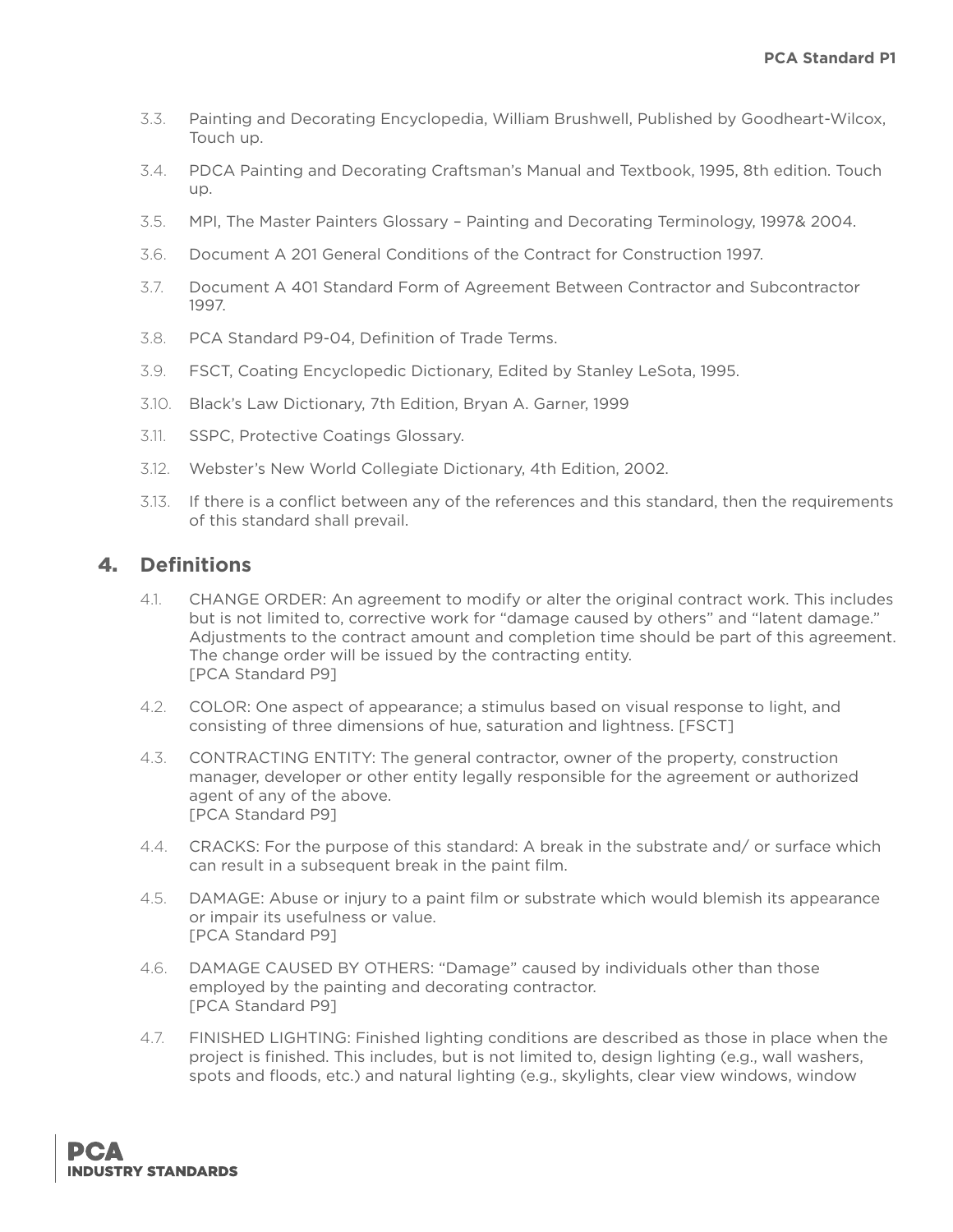- 3.3. Painting and Decorating Encyclopedia, William Brushwell, Published by Goodheart-Wilcox, Touch up.
- 3.4. PDCA Painting and Decorating Craftsman's Manual and Textbook, 1995, 8th edition. Touch up.
- 3.5. MPI, The Master Painters Glossary Painting and Decorating Terminology, 1997& 2004.
- 3.6. Document A 201 General Conditions of the Contract for Construction 1997.
- 3.7. Document A 401 Standard Form of Agreement Between Contractor and Subcontractor 1997.
- 3.8. PCA Standard P9-04, Definition of Trade Terms.
- 3.9. FSCT, Coating Encyclopedic Dictionary, Edited by Stanley LeSota, 1995.
- 3.10. Black's Law Dictionary, 7th Edition, Bryan A. Garner, 1999
- 3.11. SSPC, Protective Coatings Glossary.
- 3.12. Webster's New World Collegiate Dictionary, 4th Edition, 2002.
- 3.13. If there is a conflict between any of the references and this standard, then the requirements of this standard shall prevail.

## 4. **Definitions**

- 4.1. CHANGE ORDER: An agreement to modify or alter the original contract work. This includes but is not limited to, corrective work for "damage caused by others" and "latent damage." Adjustments to the contract amount and completion time should be part of this agreement. The change order will be issued by the contracting entity. [PCA Standard P9]
- 4.2. COLOR: One aspect of appearance; a stimulus based on visual response to light, and consisting of three dimensions of hue, saturation and lightness. [FSCT]
- 4.3. CONTRACTING ENTITY: The general contractor, owner of the property, construction manager, developer or other entity legally responsible for the agreement or authorized agent of any of the above. [PCA Standard P9]
- 4.4. CRACKS: For the purpose of this standard: A break in the substrate and/ or surface which can result in a subsequent break in the paint film.
- 4.5. DAMAGE: Abuse or injury to a paint film or substrate which would blemish its appearance or impair its usefulness or value. [PCA Standard P9]
- 4.6. DAMAGE CAUSED BY OTHERS: "Damage" caused by individuals other than those employed by the painting and decorating contractor. [PCA Standard P9]
- 4.7. FINISHED LIGHTING: Finished lighting conditions are described as those in place when the project is finished. This includes, but is not limited to, design lighting (e.g., wall washers, spots and floods, etc.) and natural lighting (e.g., skylights, clear view windows, window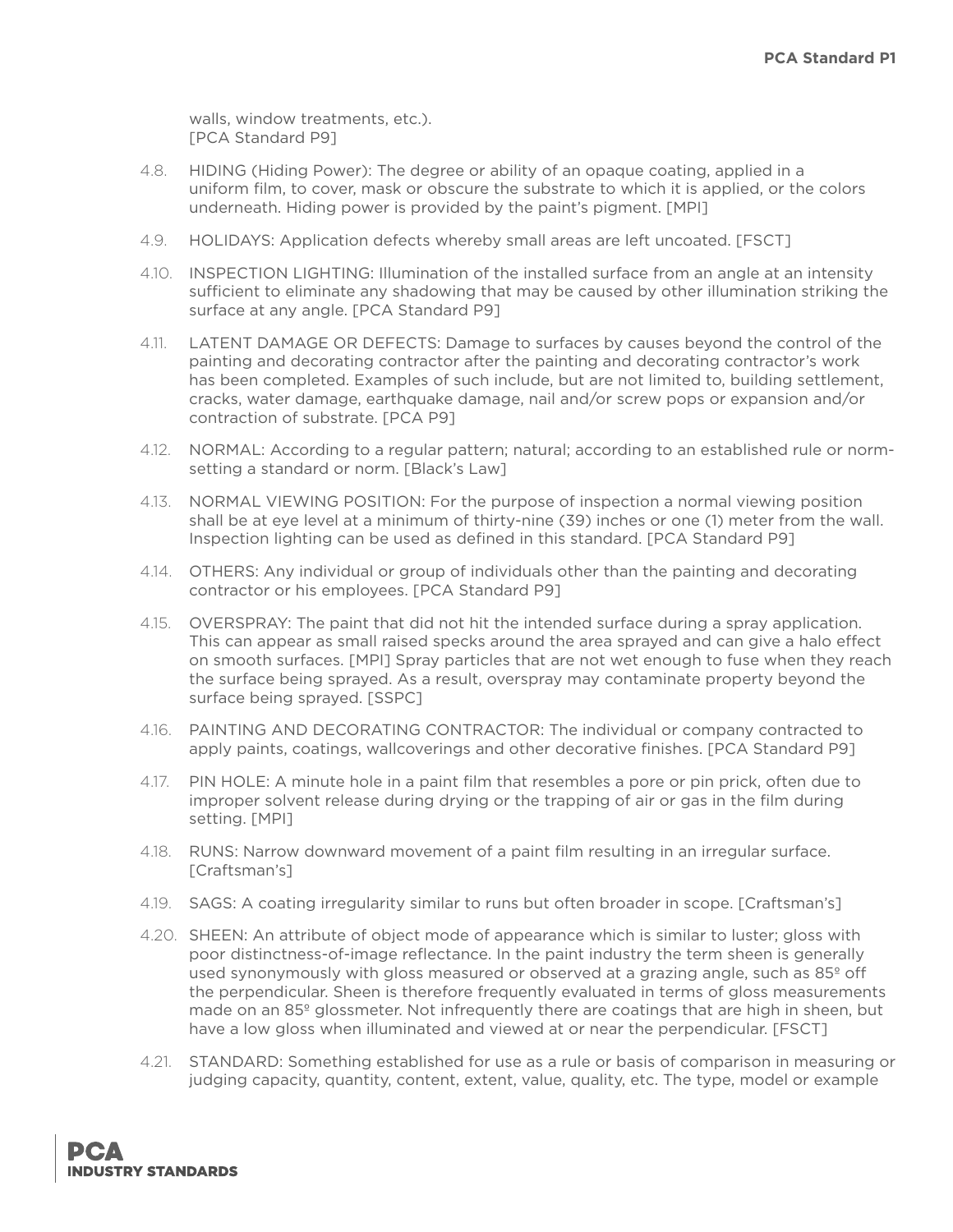walls, window treatments, etc.). [PCA Standard P9]

- 4.8. HIDING (Hiding Power): The degree or ability of an opaque coating, applied in a uniform film, to cover, mask or obscure the substrate to which it is applied, or the colors underneath. Hiding power is provided by the paint's pigment. [MPI]
- 4.9. HOLIDAYS: Application defects whereby small areas are left uncoated. [FSCT]
- 4.10. INSPECTION LIGHTING: Illumination of the installed surface from an angle at an intensity sufficient to eliminate any shadowing that may be caused by other illumination striking the surface at any angle. [PCA Standard P9]
- 4.11. LATENT DAMAGE OR DEFECTS: Damage to surfaces by causes beyond the control of the painting and decorating contractor after the painting and decorating contractor's work has been completed. Examples of such include, but are not limited to, building settlement, cracks, water damage, earthquake damage, nail and/or screw pops or expansion and/or contraction of substrate. [PCA P9]
- 4.12. NORMAL: According to a regular pattern; natural; according to an established rule or normsetting a standard or norm. [Black's Law]
- 4.13. NORMAL VIEWING POSITION: For the purpose of inspection a normal viewing position shall be at eye level at a minimum of thirty-nine (39) inches or one (1) meter from the wall. Inspection lighting can be used as defined in this standard. [PCA Standard P9]
- 4.14. OTHERS: Any individual or group of individuals other than the painting and decorating contractor or his employees. [PCA Standard P9]
- 4.15. OVERSPRAY: The paint that did not hit the intended surface during a spray application. This can appear as small raised specks around the area sprayed and can give a halo effect on smooth surfaces. [MPI] Spray particles that are not wet enough to fuse when they reach the surface being sprayed. As a result, overspray may contaminate property beyond the surface being sprayed. [SSPC]
- 4.16. PAINTING AND DECORATING CONTRACTOR: The individual or company contracted to apply paints, coatings, wallcoverings and other decorative finishes. [PCA Standard P9]
- 4.17. PIN HOLE: A minute hole in a paint film that resembles a pore or pin prick, often due to improper solvent release during drying or the trapping of air or gas in the film during setting. [MPI]
- 4.18. RUNS: Narrow downward movement of a paint film resulting in an irregular surface. [Craftsman's]
- 4.19. SAGS: A coating irregularity similar to runs but often broader in scope. [Craftsman's]
- 4.20. SHEEN: An attribute of object mode of appearance which is similar to luster; gloss with poor distinctness-of-image reflectance. In the paint industry the term sheen is generally used synonymously with gloss measured or observed at a grazing angle, such as 85<sup>°</sup> off the perpendicular. Sheen is therefore frequently evaluated in terms of gloss measurements made on an 85º glossmeter. Not infrequently there are coatings that are high in sheen, but have a low gloss when illuminated and viewed at or near the perpendicular. [FSCT]
- 4.21. STANDARD: Something established for use as a rule or basis of comparison in measuring or judging capacity, quantity, content, extent, value, quality, etc. The type, model or example